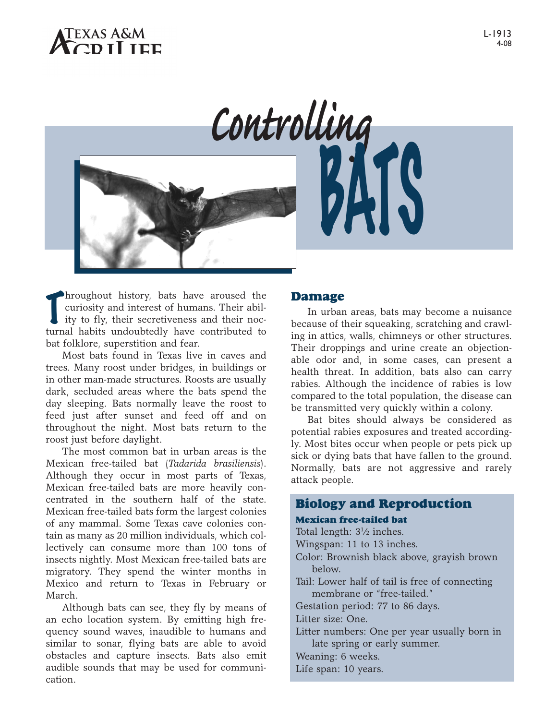

hroughout history, bats have aroused the<br>curiosity and interest of humans. Their abil-<br>ity to fly, their secretiveness and their nochroughout history, bats have aroused the curiosity and interest of humans. Their abilturnal habits undoubtedly have contributed to bat folklore, superstition and fear.

Most bats found in Texas live in caves and trees. Many roost under bridges, in buildings or in other man-made structures. Roosts are usually dark, secluded areas where the bats spend the day sleeping. Bats normally leave the roost to feed just after sunset and feed off and on throughout the night. Most bats return to the roost just before daylight.

The most common bat in urban areas is the Mexican free-tailed bat (*Tadarida brasiliensis*). Although they occur in most parts of Texas, Mexican free-tailed bats are more heavily concentrated in the southern half of the state. Mexican free-tailed bats form the largest colonies of any mammal. Some Texas cave colonies contain as many as 20 million individuals, which collectively can consume more than 100 tons of insects nightly. Most Mexican free-tailed bats are migratory. They spend the winter months in Mexico and return to Texas in February or March.

Although bats can see, they fly by means of an echo location system. By emitting high frequency sound waves, inaudible to humans and similar to sonar, flying bats are able to avoid obstacles and capture insects. Bats also emit audible sounds that may be used for communication.

### **Damage**

In urban areas, bats may become a nuisance because of their squeaking, scratching and crawling in attics, walls, chimneys or other structures. Their droppings and urine create an objectionable odor and, in some cases, can present a health threat. In addition, bats also can carry rabies. Although the incidence of rabies is low compared to the total population, the disease can be transmitted very quickly within a colony.

Bat bites should always be considered as potential rabies exposures and treated accordingly. Most bites occur when people or pets pick up sick or dying bats that have fallen to the ground. Normally, bats are not aggressive and rarely attack people.

# **Biology and Reproduction**

#### **Mexican free-tailed bat**

Total length: 31 ⁄2 inches.

Wingspan: 11 to 13 inches.

- Color: Brownish black above, grayish brown below.
- Tail: Lower half of tail is free of connecting membrane or "free-tailed."

Gestation period: 77 to 86 days.

Litter size: One.

Litter numbers: One per year usually born in late spring or early summer.

Weaning: 6 weeks.

Life span: 10 years.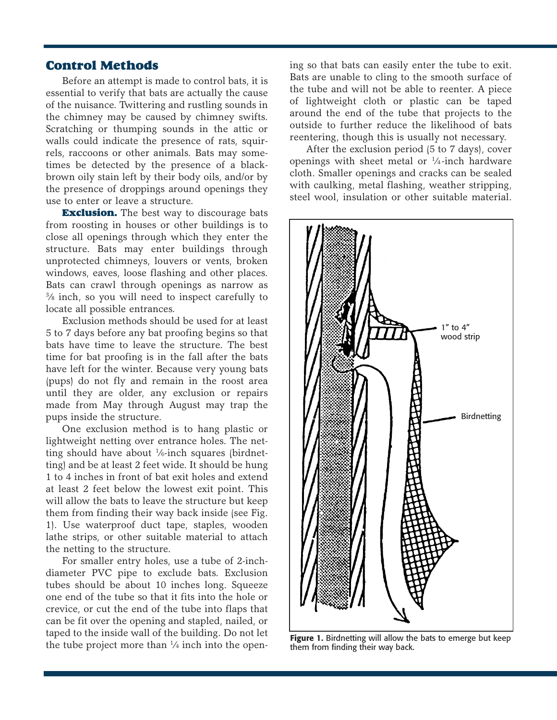## **Control Methods**

Before an attempt is made to control bats, it is essential to verify that bats are actually the cause of the nuisance. Twittering and rustling sounds in the chimney may be caused by chimney swifts. Scratching or thumping sounds in the attic or walls could indicate the presence of rats, squirrels, raccoons or other animals. Bats may sometimes be detected by the presence of a blackbrown oily stain left by their body oils, and/or by the presence of droppings around openings they use to enter or leave a structure.

**Exclusion.** The best way to discourage bats from roosting in houses or other buildings is to close all openings through which they enter the structure. Bats may enter buildings through unprotected chimneys, louvers or vents, broken windows, eaves, loose flashing and other places. Bats can crawl through openings as narrow as 3 ⁄8 inch, so you will need to inspect carefully to locate all possible entrances.

Exclusion methods should be used for at least 5 to 7 days before any bat proofing begins so that bats have time to leave the structure. The best time for bat proofing is in the fall after the bats have left for the winter. Because very young bats (pups) do not fly and remain in the roost area until they are older, any exclusion or repairs made from May through August may trap the pups inside the structure.

One exclusion method is to hang plastic or lightweight netting over entrance holes. The netting should have about 1/6-inch squares (birdnetting) and be at least 2 feet wide. It should be hung 1 to 4 inches in front of bat exit holes and extend at least 2 feet below the lowest exit point. This will allow the bats to leave the structure but keep them from finding their way back inside (see Fig. 1). Use waterproof duct tape, staples, wooden lathe strips, or other suitable material to attach the netting to the structure.

For smaller entry holes, use a tube of 2-inchdiameter PVC pipe to exclude bats. Exclusion tubes should be about 10 inches long. Squeeze one end of the tube so that it fits into the hole or crevice, or cut the end of the tube into flaps that can be fit over the opening and stapled, nailed, or taped to the inside wall of the building. Do not let the tube project more than  $\frac{1}{4}$  inch into the opening so that bats can easily enter the tube to exit. Bats are unable to cling to the smooth surface of the tube and will not be able to reenter. A piece of lightweight cloth or plastic can be taped around the end of the tube that projects to the outside to further reduce the likelihood of bats reentering, though this is usually not necessary.

After the exclusion period (5 to 7 days), cover openings with sheet metal or  $\frac{1}{4}$ -inch hardware cloth. Smaller openings and cracks can be sealed with caulking, metal flashing, weather stripping, steel wool, insulation or other suitable material.



**Figure 1.** Birdnetting will allow the bats to emerge but keep them from finding their way back.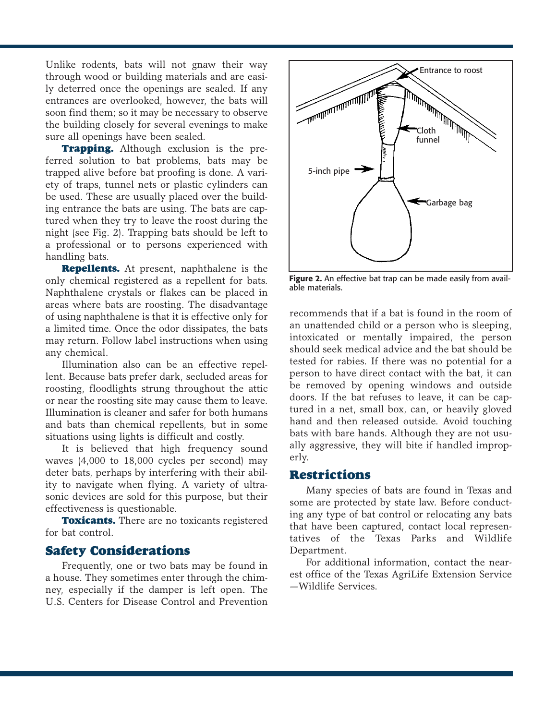Unlike rodents, bats will not gnaw their way through wood or building materials and are easily deterred once the openings are sealed. If any entrances are overlooked, however, the bats will soon find them; so it may be necessary to observe the building closely for several evenings to make sure all openings have been sealed.

**Trapping.** Although exclusion is the preferred solution to bat problems, bats may be trapped alive before bat proofing is done. A variety of traps, tunnel nets or plastic cylinders can be used. These are usually placed over the building entrance the bats are using. The bats are captured when they try to leave the roost during the night (see Fig. 2). Trapping bats should be left to a professional or to persons experienced with handling bats.

**Repellents.** At present, naphthalene is the only chemical registered as a repellent for bats. Naphthalene crystals or flakes can be placed in areas where bats are roosting. The disadvantage of using naphthalene is that it is effective only for a limited time. Once the odor dissipates, the bats may return. Follow label instructions when using any chemical.

Illumination also can be an effective repellent. Because bats prefer dark, secluded areas for roosting, floodlights strung throughout the attic or near the roosting site may cause them to leave. Illumination is cleaner and safer for both humans and bats than chemical repellents, but in some situations using lights is difficult and costly.

It is believed that high frequency sound waves (4,000 to 18,000 cycles per second) may deter bats, perhaps by interfering with their ability to navigate when flying. A variety of ultrasonic devices are sold for this purpose, but their effectiveness is questionable.

**Toxicants.** There are no toxicants registered for bat control.

## **Safety Considerations**

Frequently, one or two bats may be found in a house. They sometimes enter through the chimney, especially if the damper is left open. The U.S. Centers for Disease Control and Prevention



**Figure 2.** An effective bat trap can be made easily from available materials.

recommends that if a bat is found in the room of an unattended child or a person who is sleeping, intoxicated or mentally impaired, the person should seek medical advice and the bat should be tested for rabies. If there was no potential for a person to have direct contact with the bat, it can be removed by opening windows and outside doors. If the bat refuses to leave, it can be captured in a net, small box, can, or heavily gloved hand and then released outside. Avoid touching bats with bare hands. Although they are not usually aggressive, they will bite if handled improperly.

### **Restrictions**

Many species of bats are found in Texas and some are protected by state law. Before conducting any type of bat control or relocating any bats that have been captured, contact local representatives of the Texas Parks and Wildlife Department.

For additional information, contact the nearest office of the Texas AgriLife Extension Service —Wildlife Services.